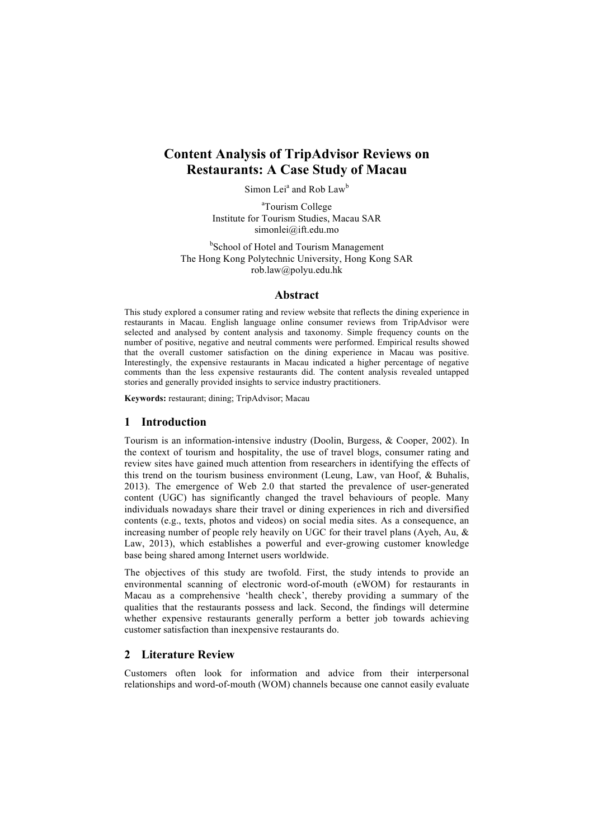# **Content Analysis of TripAdvisor Reviews on Restaurants: A Case Study of Macau**

Simon Lei<sup>a</sup> and Rob Law<sup>b</sup>

<sup>a</sup>Tourism College Institute for Tourism Studies, Macau SAR simonlei@ift.edu.mo

<sup>b</sup>School of Hotel and Tourism Management The Hong Kong Polytechnic University, Hong Kong SAR rob.law@polyu.edu.hk

#### **Abstract**

This study explored a consumer rating and review website that reflects the dining experience in restaurants in Macau. English language online consumer reviews from TripAdvisor were selected and analysed by content analysis and taxonomy. Simple frequency counts on the number of positive, negative and neutral comments were performed. Empirical results showed that the overall customer satisfaction on the dining experience in Macau was positive. Interestingly, the expensive restaurants in Macau indicated a higher percentage of negative comments than the less expensive restaurants did. The content analysis revealed untapped stories and generally provided insights to service industry practitioners.

**Keywords:** restaurant; dining; TripAdvisor; Macau

## **1 Introduction**

Tourism is an information-intensive industry (Doolin, Burgess, & Cooper, 2002). In the context of tourism and hospitality, the use of travel blogs, consumer rating and review sites have gained much attention from researchers in identifying the effects of this trend on the tourism business environment (Leung, Law, van Hoof, & Buhalis, 2013). The emergence of Web 2.0 that started the prevalence of user-generated content (UGC) has significantly changed the travel behaviours of people. Many individuals nowadays share their travel or dining experiences in rich and diversified contents (e.g., texts, photos and videos) on social media sites. As a consequence, an increasing number of people rely heavily on UGC for their travel plans (Ayeh, Au, & Law, 2013), which establishes a powerful and ever-growing customer knowledge base being shared among Internet users worldwide.

The objectives of this study are twofold. First, the study intends to provide an environmental scanning of electronic word-of-mouth (eWOM) for restaurants in Macau as a comprehensive 'health check', thereby providing a summary of the qualities that the restaurants possess and lack. Second, the findings will determine whether expensive restaurants generally perform a better job towards achieving customer satisfaction than inexpensive restaurants do.

# **2 Literature Review**

Customers often look for information and advice from their interpersonal relationships and word-of-mouth (WOM) channels because one cannot easily evaluate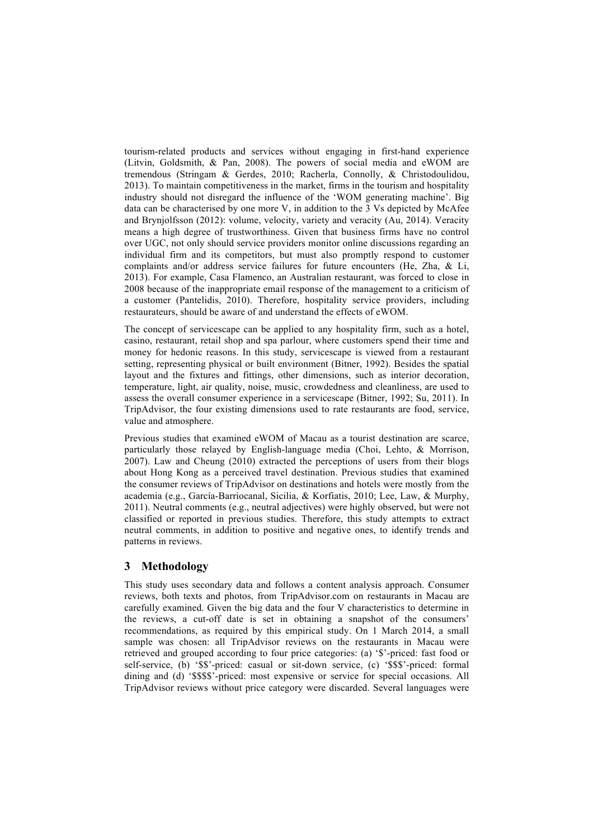tourism-related products and services without engaging in first-hand experience (Litvin, Goldsmith, & Pan, 2008). The powers of social media and eWOM are tremendous (Stringam & Gerdes, 2010; Racherla, Connolly, & Christodoulidou, 2013). To maintain competitiveness in the market, firms in the tourism and hospitality industry should not disregard the influence of the 'WOM generating machine'. Big data can be characterised by one more V, in addition to the 3 Vs depicted by McAfee and Brynjolfsson (2012): volume, velocity, variety and veracity (Au, 2014). Veracity means a high degree of trustworthiness. Given that business firms have no control over UGC, not only should service providers monitor online discussions regarding an individual firm and its competitors, but must also promptly respond to customer complaints and/or address service failures for future encounters (He, Zha, & Li, 2013). For example, Casa Flamenco, an Australian restaurant, was forced to close in 2008 because of the inappropriate email response of the management to a criticism of a customer (Pantelidis, 2010). Therefore, hospitality service providers, including restaurateurs, should be aware of and understand the effects of eWOM.

The concept of servicescape can be applied to any hospitality firm, such as a hotel, casino, restaurant, retail shop and spa parlour, where customers spend their time and money for hedonic reasons. In this study, servicescape is viewed from a restaurant setting, representing physical or built environment (Bitner, 1992). Besides the spatial layout and the fixtures and fittings, other dimensions, such as interior decoration, temperature, light, air quality, noise, music, crowdedness and cleanliness, are used to assess the overall consumer experience in a servicescape (Bitner, 1992; Su, 2011). In TripAdvisor, the four existing dimensions used to rate restaurants are food, service, value and atmosphere.

Previous studies that examined eWOM of Macau as a tourist destination are scarce, particularly those relayed by English-language media (Choi, Lehto, & Morrison, 2007). Law and Cheung (2010) extracted the perceptions of users from their blogs about Hong Kong as a perceived travel destination. Previous studies that examined the consumer reviews of TripAdvisor on destinations and hotels were mostly from the academia (e.g., García-Barriocanal, Sicilia, & Korfiatis, 2010; Lee, Law, & Murphy, 2011). Neutral comments (e.g., neutral adjectives) were highly observed, but were not classified or reported in previous studies. Therefore, this study attempts to extract neutral comments, in addition to positive and negative ones, to identify trends and patterns in reviews.

# **3 Methodology**

This study uses secondary data and follows a content analysis approach. Consumer reviews, both texts and photos, from TripAdvisor.com on restaurants in Macau are carefully examined. Given the big data and the four V characteristics to determine in the reviews, a cut-off date is set in obtaining a snapshot of the consumers' recommendations, as required by this empirical study. On 1 March 2014, a small sample was chosen: all TripAdvisor reviews on the restaurants in Macau were retrieved and grouped according to four price categories: (a) '\$'-priced: fast food or self-service, (b) '\$\$'-priced: casual or sit-down service, (c) '\$\$\$'-priced: formal dining and (d) '\$\$\$\$'-priced: most expensive or service for special occasions. All TripAdvisor reviews without price category were discarded. Several languages were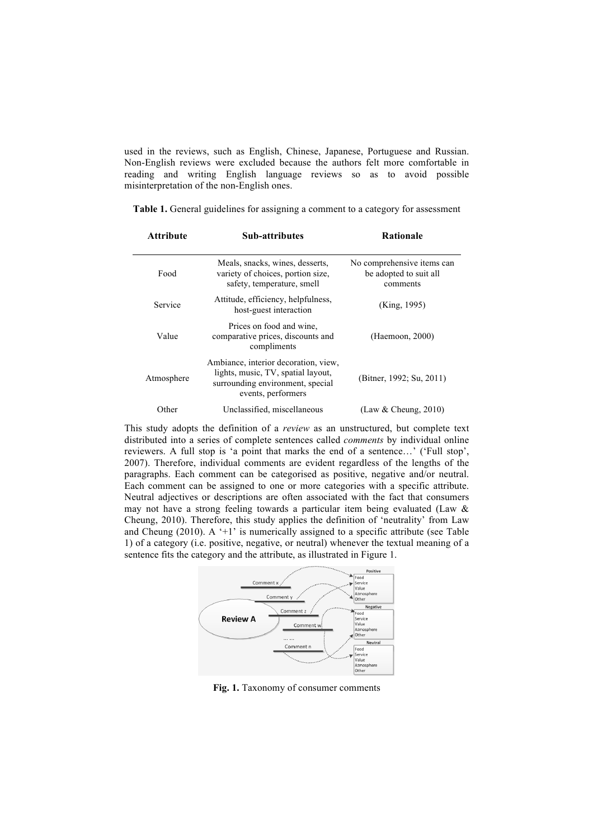used in the reviews, such as English, Chinese, Japanese, Portuguese and Russian. Non-English reviews were excluded because the authors felt more comfortable in reading and writing English language reviews so as to avoid possible misinterpretation of the non-English ones.

| Attribute  | <b>Sub-attributes</b>                                                                                                                | Rationale<br>No comprehensive items can<br>be adopted to suit all<br>comments |  |
|------------|--------------------------------------------------------------------------------------------------------------------------------------|-------------------------------------------------------------------------------|--|
| Food       | Meals, snacks, wines, desserts,<br>variety of choices, portion size,<br>safety, temperature, smell                                   |                                                                               |  |
| Service    | Attitude, efficiency, helpfulness,<br>host-guest interaction                                                                         | (King, 1995)                                                                  |  |
| Value      | Prices on food and wine.<br>comparative prices, discounts and<br>compliments                                                         | (Haemoon, 2000)                                                               |  |
| Atmosphere | Ambiance, interior decoration, view,<br>lights, music, TV, spatial layout,<br>surrounding environment, special<br>events, performers | (Bitner, 1992; Su, 2011)                                                      |  |
| Other      | Unclassified, miscellaneous                                                                                                          | (Law & Cheung, 2010)                                                          |  |

**Table 1.** General guidelines for assigning a comment to a category for assessment

This study adopts the definition of a *review* as an unstructured, but complete text distributed into a series of complete sentences called *comments* by individual online reviewers. A full stop is 'a point that marks the end of a sentence…' ('Full stop', 2007). Therefore, individual comments are evident regardless of the lengths of the paragraphs. Each comment can be categorised as positive, negative and/or neutral. Each comment can be assigned to one or more categories with a specific attribute. Neutral adjectives or descriptions are often associated with the fact that consumers may not have a strong feeling towards a particular item being evaluated (Law & Cheung, 2010). Therefore, this study applies the definition of 'neutrality' from Law and Cheung (2010). A  $+1$  is numerically assigned to a specific attribute (see Table 1) of a category (i.e. positive, negative, or neutral) whenever the textual meaning of a sentence fits the category and the attribute, as illustrated in Figure 1.



Fig. 1. Taxonomy of consumer comments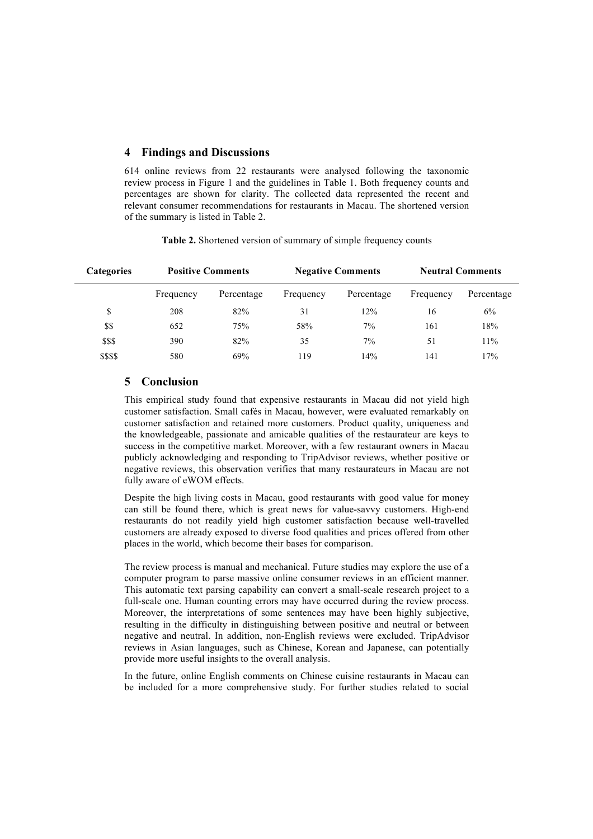## **4 Findings and Discussions**

614 online reviews from 22 restaurants were analysed following the taxonomic review process in Figure 1 and the guidelines in Table 1. Both frequency counts and percentages are shown for clarity. The collected data represented the recent and relevant consumer recommendations for restaurants in Macau. The shortened version of the summary is listed in Table 2.

| <b>Categories</b> | <b>Positive Comments</b> |            | <b>Negative Comments</b> |            | <b>Neutral Comments</b> |            |
|-------------------|--------------------------|------------|--------------------------|------------|-------------------------|------------|
|                   | Frequency                | Percentage | Frequency                | Percentage | Frequency               | Percentage |
| \$                | 208                      | 82%        | 31                       | 12%        | 16                      | 6%         |
| \$\$              | 652                      | 75%        | 58%                      | 7%         | 161                     | 18%        |
| \$\$\$            | 390                      | 82%        | 35                       | 7%         | 51                      | 11%        |
| \$\$\$\$          | 580                      | 69%        | 119                      | 14%        | 141                     | 17%        |

**Table 2.** Shortened version of summary of simple frequency counts

### **5 Conclusion**

This empirical study found that expensive restaurants in Macau did not yield high customer satisfaction. Small cafés in Macau, however, were evaluated remarkably on customer satisfaction and retained more customers. Product quality, uniqueness and the knowledgeable, passionate and amicable qualities of the restaurateur are keys to success in the competitive market. Moreover, with a few restaurant owners in Macau publicly acknowledging and responding to TripAdvisor reviews, whether positive or negative reviews, this observation verifies that many restaurateurs in Macau are not fully aware of eWOM effects.

Despite the high living costs in Macau, good restaurants with good value for money can still be found there, which is great news for value-savvy customers. High-end restaurants do not readily yield high customer satisfaction because well-travelled customers are already exposed to diverse food qualities and prices offered from other places in the world, which become their bases for comparison.

The review process is manual and mechanical. Future studies may explore the use of a computer program to parse massive online consumer reviews in an efficient manner. This automatic text parsing capability can convert a small-scale research project to a full-scale one. Human counting errors may have occurred during the review process. Moreover, the interpretations of some sentences may have been highly subjective, resulting in the difficulty in distinguishing between positive and neutral or between negative and neutral. In addition, non-English reviews were excluded. TripAdvisor reviews in Asian languages, such as Chinese, Korean and Japanese, can potentially provide more useful insights to the overall analysis.

In the future, online English comments on Chinese cuisine restaurants in Macau can be included for a more comprehensive study. For further studies related to social